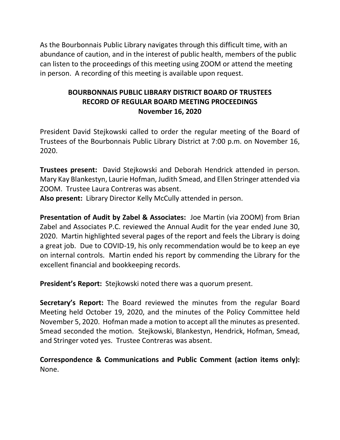As the Bourbonnais Public Library navigates through this difficult time, with an abundance of caution, and in the interest of public health, members of the public can listen to the proceedings of this meeting using ZOOM or attend the meeting in person. A recording of this meeting is available upon request.

# **BOURBONNAIS PUBLIC LIBRARY DISTRICT BOARD OF TRUSTEES RECORD OF REGULAR BOARD MEETING PROCEEDINGS November 16, 2020**

President David Stejkowski called to order the regular meeting of the Board of Trustees of the Bourbonnais Public Library District at 7:00 p.m. on November 16, 2020.

**Trustees present:** David Stejkowski and Deborah Hendrick attended in person. Mary Kay Blankestyn, Laurie Hofman, Judith Smead, and Ellen Stringer attended via ZOOM. Trustee Laura Contreras was absent.

**Also present:** Library Director Kelly McCully attended in person.

**Presentation of Audit by Zabel & Associates:** Joe Martin (via ZOOM) from Brian Zabel and Associates P.C. reviewed the Annual Audit for the year ended June 30, 2020. Martin highlighted several pages of the report and feels the Library is doing a great job. Due to COVID-19, his only recommendation would be to keep an eye on internal controls. Martin ended his report by commending the Library for the excellent financial and bookkeeping records.

**President's Report:** Stejkowski noted there was a quorum present.

**Secretary's Report:** The Board reviewed the minutes from the regular Board Meeting held October 19, 2020, and the minutes of the Policy Committee held November 5, 2020. Hofman made a motion to accept all the minutes as presented. Smead seconded the motion. Stejkowski, Blankestyn, Hendrick, Hofman, Smead, and Stringer voted yes. Trustee Contreras was absent.

**Correspondence & Communications and Public Comment (action items only):**  None.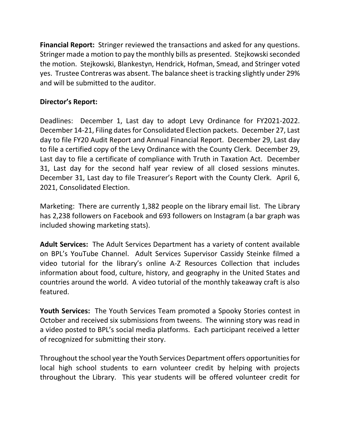**Financial Report:** Stringer reviewed the transactions and asked for any questions. Stringer made a motion to pay the monthly bills as presented. Stejkowski seconded the motion. Stejkowski, Blankestyn, Hendrick, Hofman, Smead, and Stringer voted yes. Trustee Contreras was absent. The balance sheet is tracking slightly under 29% and will be submitted to the auditor.

## **Director's Report:**

Deadlines: December 1, Last day to adopt Levy Ordinance for FY2021-2022. December 14-21, Filing dates for Consolidated Election packets. December 27, Last day to file FY20 Audit Report and Annual Financial Report. December 29, Last day to file a certified copy of the Levy Ordinance with the County Clerk. December 29, Last day to file a certificate of compliance with Truth in Taxation Act. December 31, Last day for the second half year review of all closed sessions minutes. December 31, Last day to file Treasurer's Report with the County Clerk. April 6, 2021, Consolidated Election.

Marketing: There are currently 1,382 people on the library email list. The Library has 2,238 followers on Facebook and 693 followers on Instagram (a bar graph was included showing marketing stats).

**Adult Services:** The Adult Services Department has a variety of content available on BPL's YouTube Channel. Adult Services Supervisor Cassidy Steinke filmed a video tutorial for the library's online A-Z Resources Collection that includes information about food, culture, history, and geography in the United States and countries around the world. A video tutorial of the monthly takeaway craft is also featured.

**Youth Services:** The Youth Services Team promoted a Spooky Stories contest in October and received six submissions from tweens. The winning story was read in a video posted to BPL's social media platforms. Each participant received a letter of recognized for submitting their story.

Throughout the school year the Youth Services Department offers opportunities for local high school students to earn volunteer credit by helping with projects throughout the Library. This year students will be offered volunteer credit for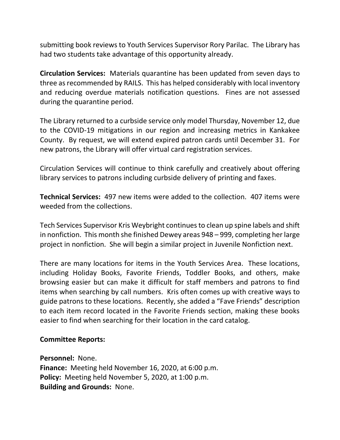submitting book reviews to Youth Services Supervisor Rory Parilac. The Library has had two students take advantage of this opportunity already.

**Circulation Services:** Materials quarantine has been updated from seven days to three as recommended by RAILS. This has helped considerably with local inventory and reducing overdue materials notification questions. Fines are not assessed during the quarantine period.

The Library returned to a curbside service only model Thursday, November 12, due to the COVID-19 mitigations in our region and increasing metrics in Kankakee County. By request, we will extend expired patron cards until December 31. For new patrons, the Library will offer virtual card registration services.

Circulation Services will continue to think carefully and creatively about offering library services to patrons including curbside delivery of printing and faxes.

**Technical Services:** 497 new items were added to the collection. 407 items were weeded from the collections.

Tech Services Supervisor Kris Weybright continues to clean up spine labels and shift in nonfiction. This month she finished Dewey areas 948 – 999, completing her large project in nonfiction. She will begin a similar project in Juvenile Nonfiction next.

There are many locations for items in the Youth Services Area. These locations, including Holiday Books, Favorite Friends, Toddler Books, and others, make browsing easier but can make it difficult for staff members and patrons to find items when searching by call numbers. Kris often comes up with creative ways to guide patrons to these locations. Recently, she added a "Fave Friends" description to each item record located in the Favorite Friends section, making these books easier to find when searching for their location in the card catalog.

### **Committee Reports:**

**Personnel:** None.

**Finance:** Meeting held November 16, 2020, at 6:00 p.m. **Policy:** Meeting held November 5, 2020, at 1:00 p.m. **Building and Grounds:** None.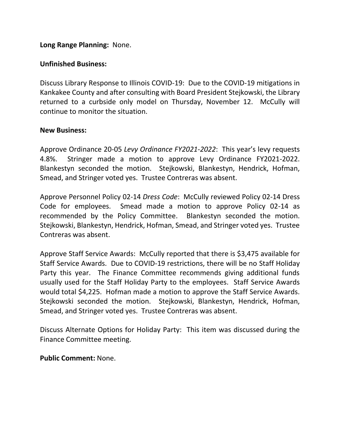## **Long Range Planning:** None.

### **Unfinished Business:**

Discuss Library Response to Illinois COVID-19: Due to the COVID-19 mitigations in Kankakee County and after consulting with Board President Stejkowski, the Library returned to a curbside only model on Thursday, November 12. McCully will continue to monitor the situation.

### **New Business:**

Approve Ordinance 20-05 *Levy Ordinance FY2021-2022*: This year's levy requests 4.8%. Stringer made a motion to approve Levy Ordinance FY2021-2022. Blankestyn seconded the motion. Stejkowski, Blankestyn, Hendrick, Hofman, Smead, and Stringer voted yes. Trustee Contreras was absent.

Approve Personnel Policy 02-14 *Dress Code*: McCully reviewed Policy 02-14 Dress Code for employees. Smead made a motion to approve Policy 02-14 as recommended by the Policy Committee. Blankestyn seconded the motion. Stejkowski, Blankestyn, Hendrick, Hofman, Smead, and Stringer voted yes. Trustee Contreras was absent.

Approve Staff Service Awards: McCully reported that there is \$3,475 available for Staff Service Awards. Due to COVID-19 restrictions, there will be no Staff Holiday Party this year. The Finance Committee recommends giving additional funds usually used for the Staff Holiday Party to the employees. Staff Service Awards would total \$4,225. Hofman made a motion to approve the Staff Service Awards. Stejkowski seconded the motion. Stejkowski, Blankestyn, Hendrick, Hofman, Smead, and Stringer voted yes. Trustee Contreras was absent.

Discuss Alternate Options for Holiday Party: This item was discussed during the Finance Committee meeting.

**Public Comment:** None.